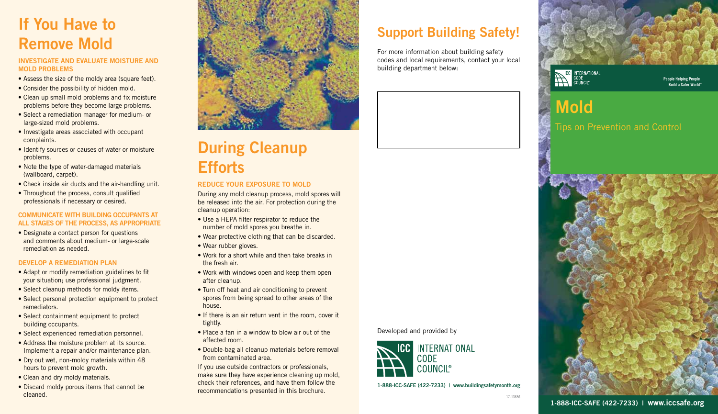## If You Have to Remove Mold

#### INVESTIGATE AND EVALUATE MOISTURE AND MOLD PROBLEMS

- Assess the size of the moldy area (square feet).
- Consider the possibility of hidden mold.
- Clean up small mold problems and fix moisture problems before they become large problems.
- Select a remediation manager for medium- or large-sized mold problems.
- Investigate areas associated with occupant complaints.
- Identify sources or causes of water or moisture problems.
- Note the type of water-damaged materials (wallboard, carpet).
- Check inside air ducts and the air-handling unit.
- Throughout the process, consult qualified professionals if necessary or desired.

#### COMMUNICATE WITH BUILDING OCCUPANTS AT ALL STAGES OF THE PROCESS, AS APPROPRIATE

• Designate a contact person for questions and comments about medium- or large-scale remediation as needed.

#### DEVELOP A REMEDIATION PLAN

- Adapt or modify remediation guidelines to fit your situation; use professional judgment.
- Select cleanup methods for moldy items.
- Select personal protection equipment to protect remediators.
- Select containment equipment to protect building occupants.
- Select experienced remediation personnel.
- Address the moisture problem at its source. Implement a repair and/or maintenance plan.
- Dry out wet, non-moldy materials within 48 hours to prevent mold growth.
- Clean and dry moldy materials.
- Discard moldy porous items that cannot be cleaned.



### During Cleanup **Efforts**

#### REDUCE YOUR EXPOSURE TO MOLD

During any mold cleanup process, mold spores will be released into the air. For protection during the cleanup operation:

- Use a HEPA filter respirator to reduce the number of mold spores you breathe in.
- Wear protective clothing that can be discarded.
- Wear rubber gloves.
- Work for a short while and then take breaks in the fresh air.
- Work with windows open and keep them open after cleanup.
- Turn off heat and air conditioning to prevent spores from being spread to other areas of the house.
- If there is an air return vent in the room, cover it tightly.
- Place a fan in a window to blow air out of the affected room.
- Double-bag all cleanup materials before removal from contaminated area.

If you use outside contractors or professionals, make sure they have experience cleaning up mold, check their references, and have them follow the recommendations presented in this brochure.

### Support Building Safety!

For more information about building safety codes and local requirements, contact your local building department below:





People Helping People Build a Safer World®

### Mold Tips on Prevention and Control



1-888-ICC-SAFE (422-7233) | www.buildingsafetymonth.org

INTERNATIONAL

Developed and provided by

**CODE COUNCII<sup>®</sup>**